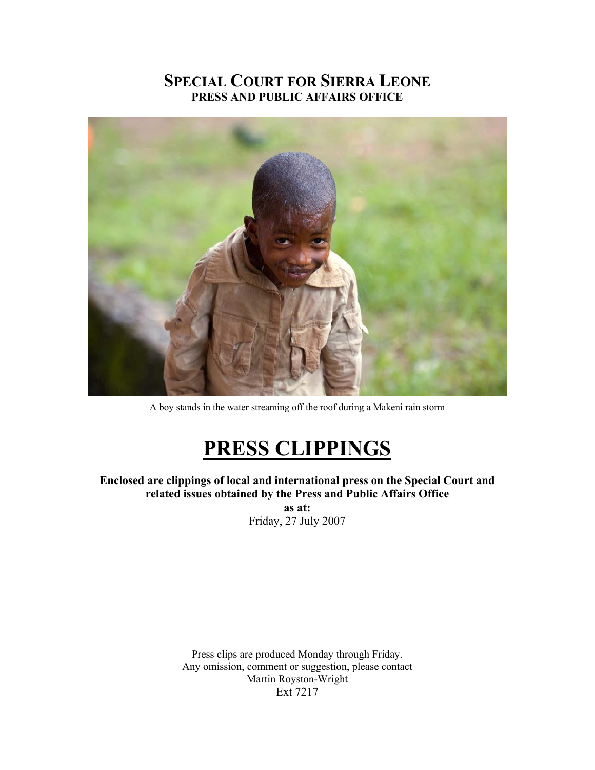## **SPECIAL COURT FOR SIERRA LEONE PRESS AND PUBLIC AFFAIRS OFFICE**



A boy stands in the water streaming off the roof during a Makeni rain storm

# **PRESS CLIPPINGS**

**Enclosed are clippings of local and international press on the Special Court and related issues obtained by the Press and Public Affairs Office as at:**  Friday, 27 July 2007

> Press clips are produced Monday through Friday. Any omission, comment or suggestion, please contact Martin Royston-Wright Ext 7217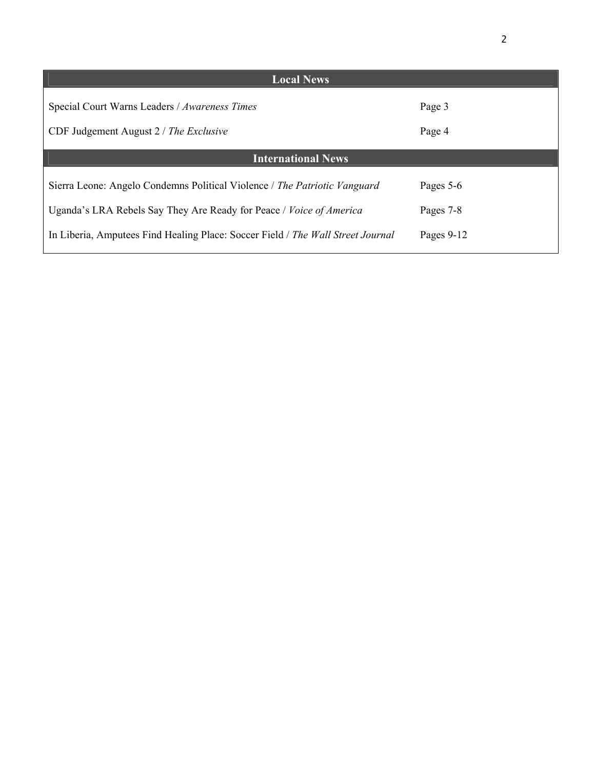| <b>Local News</b>                                                               |              |
|---------------------------------------------------------------------------------|--------------|
| Special Court Warns Leaders / Awareness Times                                   | Page 3       |
| CDF Judgement August $2 / The Exclusive$                                        | Page 4       |
| <b>International News</b>                                                       |              |
| Sierra Leone: Angelo Condemns Political Violence / The Patriotic Vanguard       | Pages 5-6    |
| Uganda's LRA Rebels Say They Are Ready for Peace / Voice of America             | Pages 7-8    |
| In Liberia, Amputees Find Healing Place: Soccer Field / The Wall Street Journal | Pages $9-12$ |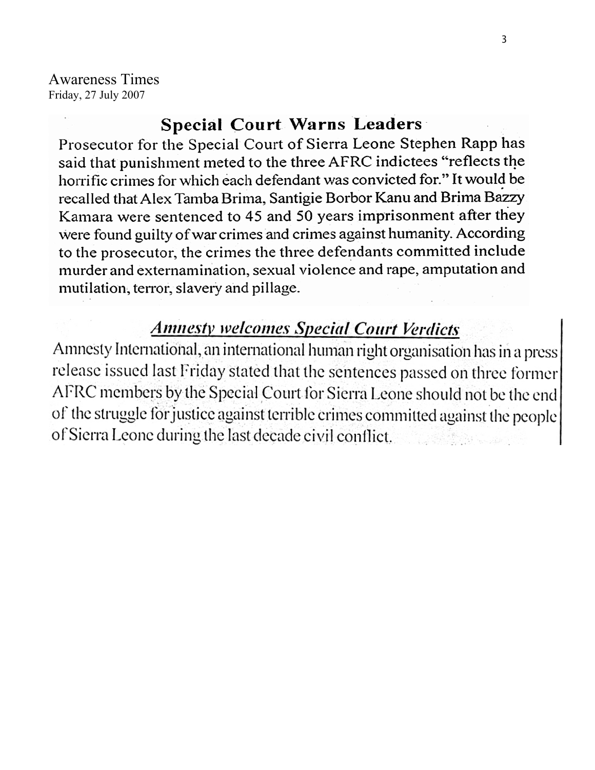Awareness Times Friday, 27 July 2007

# **Special Court Warns Leaders**

Prosecutor for the Special Court of Sierra Leone Stephen Rapp has said that punishment meted to the three AFRC indictees "reflects the horrific crimes for which each defendant was convicted for." It would be recalled that Alex Tamba Brima, Santigie Borbor Kanu and Brima Bazzy Kamara were sentenced to 45 and 50 years imprisonment after they were found guilty of war crimes and crimes against humanity. According to the prosecutor, the crimes the three defendants committed include murder and externamination, sexual violence and rape, amputation and mutilation, terror, slavery and pillage.

# **Annesty welcomes Special Court Verdicts**

Amnesty International, an international human right organisation has in a press release issued last Friday stated that the sentences passed on three former AFRC members by the Special Court for Sierra Leone should not be the end of the struggle for justice against terrible crimes committed against the people of Sierra Leone during the last decade civil conflict.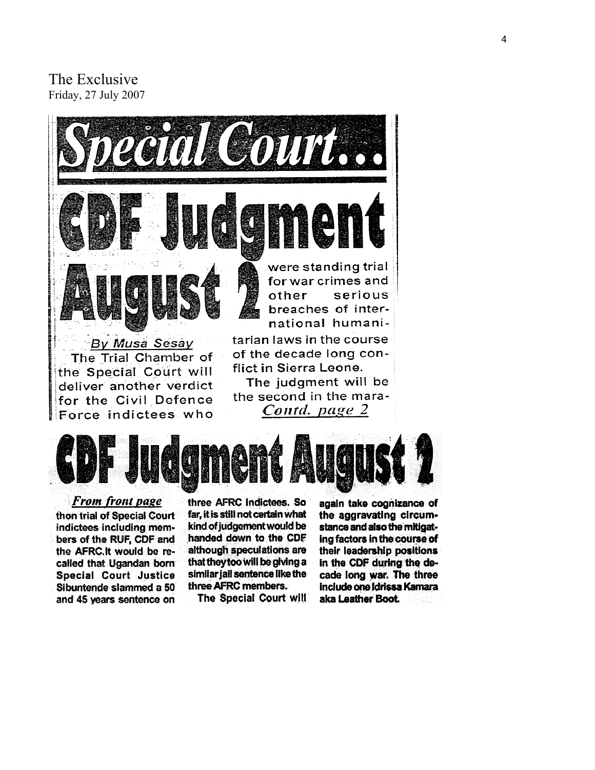### The E xclusive Friday, 27 July 2007





From front page thon trial of Special Court indictees including members of the RUF, CDF and the AFRC.It would be recalled that Ugandan born Special Court Justice Sibuntende slammed a 50 and 45 years sentence on

three AFRC indictees. So far, it is still not certain what kind of judgement would be handed down to the CDF although speculations are that they too will be giving a similar jail sentence like the three AFRC members.

The Special Court will

again take cognizance of the aggravating circumstance and also the mitigating factors in the course of their leadership positions in the CDF during the decade long war. The three include one Idrissa Kamara aka Leather Boot.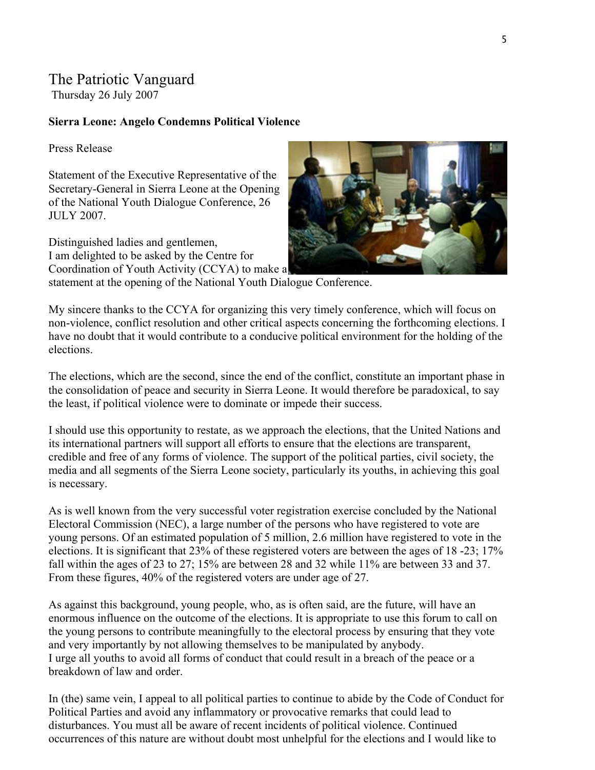### The Patriotic Vanguard

Thursday 26 July 2007

#### **Sierra Leone: Angelo Condemns Political Violence**

Press Release

Statement of the Executive Representative of the Secretary-General in Sierra Leone at the Opening of the National Youth Dialogue Conference, 26 JULY 2007.

Distinguished ladies and gentlemen, I am delighted to be asked by the Centre for Coordination of Youth Activity (CCYA) to make a statement at the opening of the National Youth Dialogue Conference.



My sincere thanks to the CCYA for organizing this very timely conference, which will focus on non-violence, conflict resolution and other critical aspects concerning the forthcoming elections. I have no doubt that it would contribute to a conducive political environment for the holding of the elections.

The elections, which are the second, since the end of the conflict, constitute an important phase in the consolidation of peace and security in Sierra Leone. It would therefore be paradoxical, to say the least, if political violence were to dominate or impede their success.

I should use this opportunity to restate, as we approach the elections, that the United Nations and credible and free of any forms of violence. The support of the political parties, civil society, the its international partners will support all efforts to ensure that the elections are transparent, media and all segments of the Sierra Leone society, particularly its youths, in achieving this goal is necessary.

As is well known from the very successful voter registration exercise concluded by the National young persons. Of an estimated population of 5 million, 2.6 million have registered to vote in the Electoral Commission (NEC), a large number of the persons who have registered to vote are elections. It is significant that 23% of these registered voters are between the ages of 18 -23; 17% fall within the ages of 23 to 27; 15% are between 28 and 32 while 11% are between 33 and 37. From these figures, 40% of the registered voters are under age of 27.

As against this background, young people, who, as is often said, are the future, will have an enormous influence on the outcome of the elections. It is appropriate to use this forum to call on I urge all youths to avoid all forms of conduct that could result in a breach of the peace or a the young persons to contribute meaningfully to the electoral process by ensuring that they vote and very importantly by not allowing themselves to be manipulated by anybody. breakdown of law and order.

In (the) same vein, I appeal to all political parties to continue to abide by the Code of Conduct for occurrences of this nature are without doubt most unhelpful for the elections and I would like to Political Parties and avoid any inflammatory or provocative remarks that could lead to disturbances. You must all be aware of recent incidents of political violence. Continued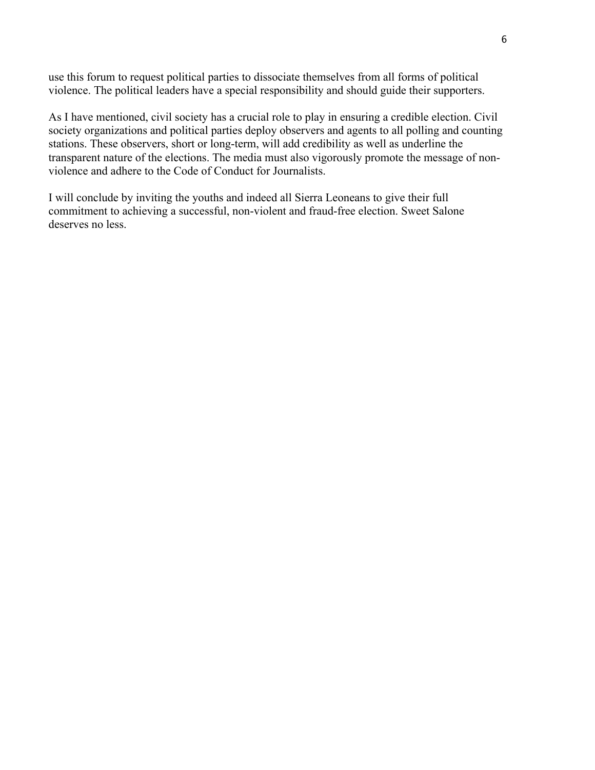use this forum to request political parties to dissociate themselves from all forms of political violence. The political leaders have a special responsibility and should guide their supporters.

As I have mentioned, civil society has a crucial role to play in ensuring a credible election. Civil transparent nature of the elections. The media must also vigorously promote the message of nonsociety organizations and political parties deploy observers and agents to all polling and counting stations. These observers, short or long-term, will add credibility as well as underline the violence and adhere to the Code of Conduct for Journalists.

I will conclude by inviting the youths and indeed all Sierra Leoneans to give their full commitment to achieving a successful, non-violent and fraud-free election. Sweet Salone deserves no less.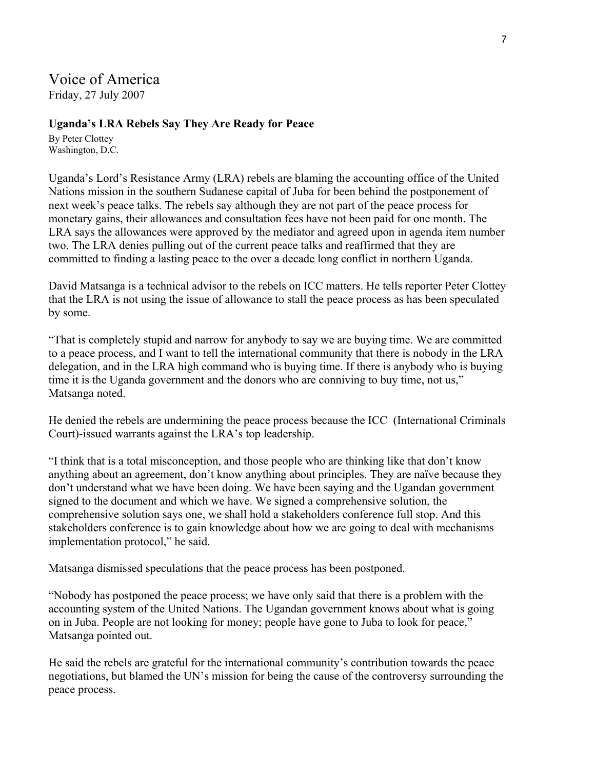# Voice of America

Friday, 27 July 2007

### **Uganda's LRA Rebels Say They Are Ready for Peace**

By Peter Clottey Washington, D.C.

Uganda's Lord's Resistance Army (LRA) rebels are blaming the accounting office of the United Nations mission in the southern Sudanese capital of Juba for been behind the postponement of next week's peace talks. The rebels say although they are not part of the peace process for monetary gains, their allowances and consultation fees have not been paid for one month. The LRA says the allowances were approved by the mediator and agreed upon in agenda item number two. The LRA denies pulling out of the current peace talks and reaffirmed that they are committed to finding a lasting peace to the over a decade long conflict in northern Uganda.

David Matsanga is a technical advisor to the rebels on ICC matters. He tells reporter Peter Clottey that the LRA is not using the issue of allowance to stall the peace process as has been speculated by some.

"That is completely stupid and narrow for anybody to say we are buying time. We are committed to a peace process, and I want to tell the international community that there is nobody in the LRA delegation, and in the LRA high command who is buying time. If there is anybody who is buying time it is the Uganda government and the donors who are conniving to buy time, not us," Matsanga noted.

He denied the rebels are undermining the peace process because the ICC (International Criminals Court)-issued warrants against the LRA's top leadership.

"I think that is a total misconception, and those people who are thinking like that don't know anything about an agreement, don't know anything about principles. They are naïve because they don't understand what we have been doing. We have been saying and the Ugandan government signed to the document and which we have. We signed a comprehensive solution, the comprehensive solution says one, we shall hold a stakeholders conference full stop. And this stakeholders conference is to gain knowledge about how we are going to deal with mechanisms implementation protocol," he said.

Matsanga dismissed speculations that the peace process has been postponed.

"Nobody has postponed the peace process; we have only said that there is a problem with the accounting system of the United Nations. The Ugandan government knows about what is going on in Juba. People are not looking for money; people have gone to Juba to look for peace," Matsanga pointed out.

He said the rebels are grateful for the international community's contribution towards the peace negotiations, but blamed the UN's mission for being the cause of the controversy surrounding the peace process.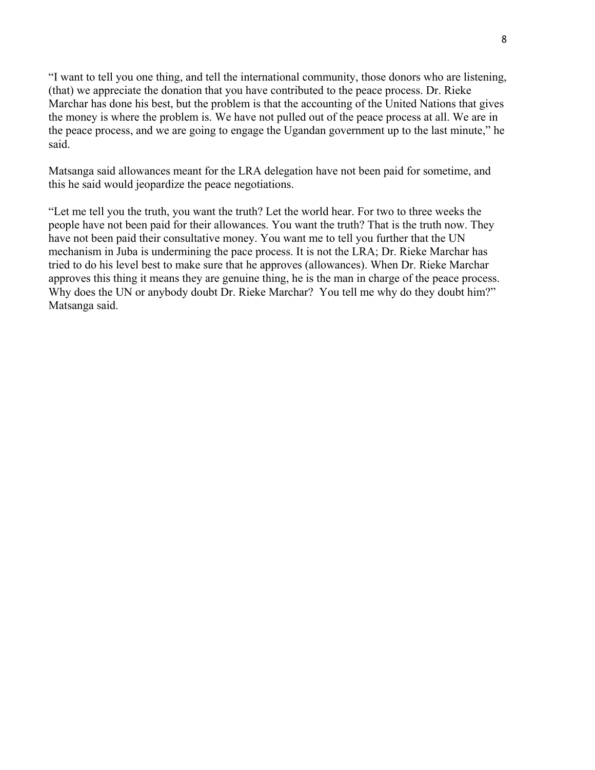"I want to tell you one thing, and tell the international community, those donors who are listening, (that) we appreciate the donation that you have contributed to the peace process. Dr. Rieke Marchar has done his best, but the problem is that the accounting of the United Nations that gives the money is where the problem is. We have not pulled out of the peace process at all. We are in the peace process, and we are going to engage the Ugandan government up to the last minute," he said.

Matsanga said allowances meant for the LRA delegation have not been paid for sometime, and this he said would jeopardize the peace negotiations.

"Let me tell you the truth, you want the truth? Let the world hear. For two to three weeks the people have not been paid for their allowances. You want the truth? That is the truth now. They have not been paid their consultative money. You want me to tell you further that the UN mechanism in Juba is undermining the pace process. It is not the LRA; Dr. Rieke Marchar has tried to do his level best to make sure that he approves (allowances). When Dr. Rieke Marchar approves this thing it means they are genuine thing, he is the man in charge of the peace process. Why does the UN or anybody doubt Dr. Rieke Marchar? You tell me why do they doubt him?" Matsanga said.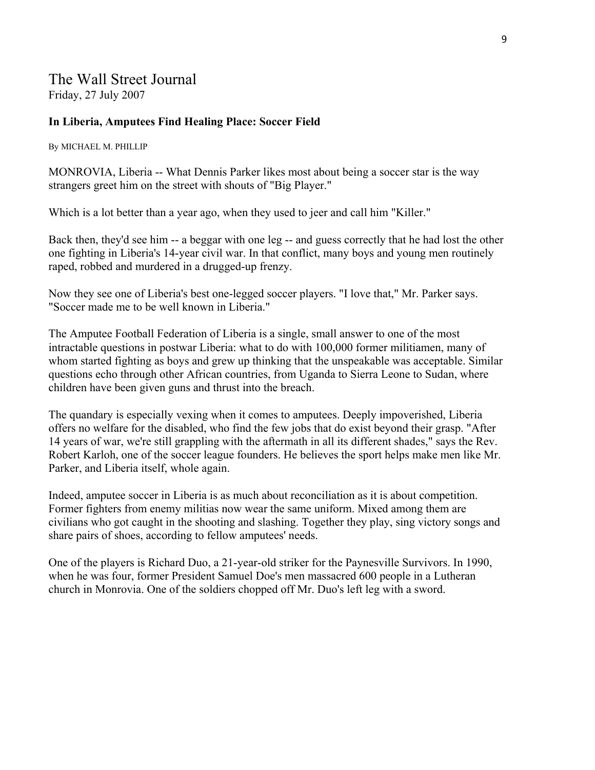### The Wall Street Journal Friday, 27 July 2007

#### **In Liberia, Amputees Find Healing Place: Soccer Field**

By MICHAEL M. PHILLIP

MONROVIA, Liberia -- What Dennis Parker likes most about being a soccer star is the way strangers greet him on the street with shouts of "Big Player."

Which is a lot better than a year ago, when they used to jeer and call him "Killer."

Back then, they'd see him -- a beggar with one leg -- and guess correctly that he had lost the other one fighting in Liberia's 14-year civil war. In that conflict, many boys and young men routinely raped, robbed and murdered in a drugged-up frenzy.

Now they see one of Liberia's best one-legged soccer players. "I love that," Mr. Parker says. "Soccer made me to be well known in Liberia."

The Amputee Football Federation of Liberia is a single, small answer to one of the most intractable questions in postwar Liberia: what to do with 100,000 former militiamen, many of whom started fighting as boys and grew up thinking that the unspeakable was acceptable. Similar questions echo through other African countries, from Uganda to Sierra Leone to Sudan, where children have been given guns and thrust into the breach.

The quandary is especially vexing when it comes to amputees. Deeply impoverished, Liberia offers no welfare for the disabled, who find the few jobs that do exist beyond their grasp. "After 14 years of war, we're still grappling with the aftermath in all its different shades," says the Rev. Robert Karloh, one of the soccer league founders. He believes the sport helps make men like Mr. Parker, and Liberia itself, whole again.

Indeed, amputee soccer in Liberia is as much about reconciliation as it is about competition. Former fighters from enemy militias now wear the same uniform. Mixed among them are civilians who got caught in the shooting and slashing. Together they play, sing victory songs and share pairs of shoes, according to fellow amputees' needs.

One of the players is Richard Duo, a 21-year-old striker for the Paynesville Survivors. In 1990, when he was four, former President Samuel Doe's men massacred 600 people in a Lutheran church in Monrovia. One of the soldiers chopped off Mr. Duo's left leg with a sword.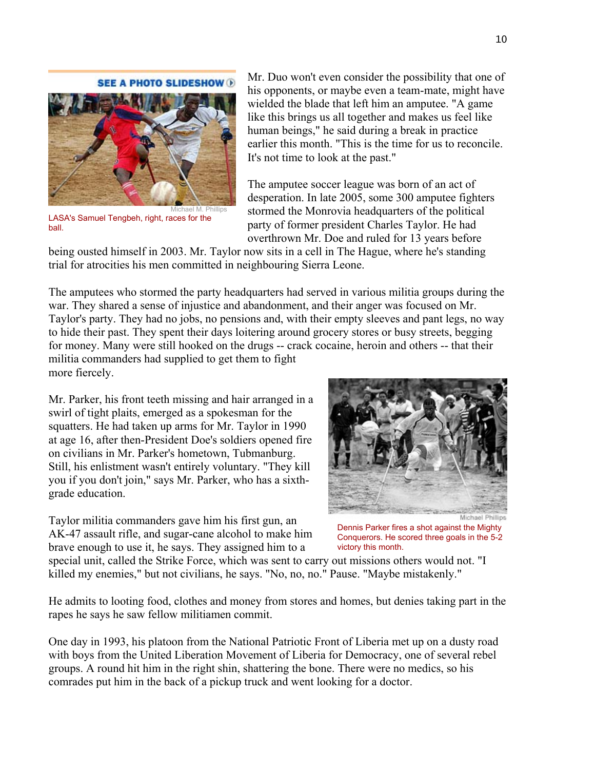#### **SEE A PHOTO SLIDESHOW D**



LASA's Samuel Tengbeh, right, races for the ball.

Mr. Duo won't even consider the possibility that one of his opponents, or maybe even a team-mate, might have wielded the blade that left him an amputee. "A game like this brings us all together and makes us feel like human beings," he said during a break in practice earlier this month. "This is the time for us to reconcile. It's not time to look at the past."

The amputee soccer league was born of an act of desperation. In late 2005, some 300 amputee fighters stormed the Monrovia headquarters of the political party of former president Charles Taylor. He had overthrown Mr. Doe and ruled for 13 years before

being ousted himself in 2003. Mr. Taylor now sits in a cell in The Hague, where he's standing trial for atrocities his men committed in neighbouring Sierra Leone.

The amputees who stormed the party headquarters had served in various militia groups during the war. They shared a sense of injustice and abandonment, and their anger was focused on Mr. Taylor's party. They had no jobs, no pensions and, with their empty sleeves and pant legs, no way to hide their past. They spent their days loitering around grocery stores or busy streets, begging for money. Many were still hooked on the drugs -- crack cocaine, heroin and others -- that their militia commanders had supplied to get them to fight more fiercely.

Mr. Parker, his front teeth missing and hair arranged in a swirl of tight plaits, emerged as a spokesman for the squatters. He had taken up arms for Mr. Taylor in 1990 at age 16, after then-President Doe's soldiers opened fire on civilians in Mr. Parker's hometown, Tubmanburg. Still, his enlistment wasn't entirely voluntary. "They kill you if you don't join," says Mr. Parker, who has a sixthgrade education.

Taylor militia commanders gave him his first gun, an AK-47 assault rifle, and sugar-cane alcohol to make him brave enough to use it, he says. They assigned him to a



Dennis Parker fires a shot against the Mighty Conquerors. He scored three goals in the 5-2 victory this month.

special unit, called the Strike Force, which was sent to carry out missions others would not. "I killed my enemies," but not civilians, he says. "No, no, no." Pause. "Maybe mistakenly."

He admits to looting food, clothes and money from stores and homes, but denies taking part in the rapes he says he saw fellow militiamen commit.

One day in 1993, his platoon from the National Patriotic Front of Liberia met up on a dusty road with boys from the United Liberation Movement of Liberia for Democracy, one of several rebel groups. A round hit him in the right shin, shattering the bone. There were no medics, so his comrades put him in the back of a pickup truck and went looking for a doctor.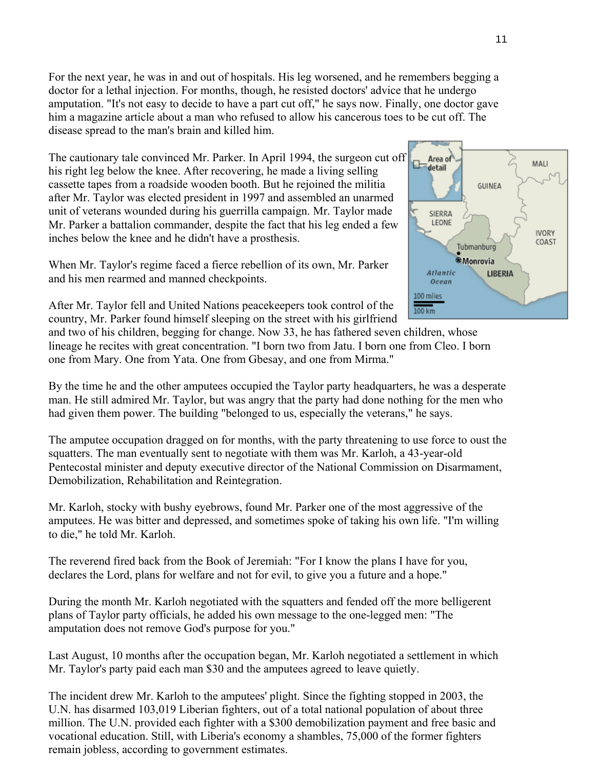For the next year, he was in and out of hospitals. His leg worsened, and he remembers begging a doctor for a lethal injection. For months, though, he resisted doctors' advice that he undergo amputation. "It's not easy to decide to have a part cut off," he says now. Finally, one doctor gave him a magazine article about a man who refused to allow his cancerous toes to be cut off. The disease spread to the man's brain and killed him.

The cautionary tale convinced Mr. Parker. In April 1994, the surgeon cut off his right leg below the knee. After recovering, he made a living selling cassette tapes from a roadside wooden booth. But he rejoined the militia after Mr. Taylor was elected president in 1997 and assembled an unarmed unit of veterans wounded during his guerrilla campaign. Mr. Taylor made Mr. Parker a battalion commander, despite the fact that his leg ended a few inches below the knee and he didn't have a prosthesis.

When Mr. Taylor's regime faced a fierce rebellion of its own, Mr. Parker and his men rearmed and manned checkpoints.



After Mr. Taylor fell and United Nations peacekeepers took control of the country, Mr. Parker found himself sleeping on the street with his girlfriend

and two of his children, begging for change. Now 33, he has fathered seven children, whose lineage he recites with great concentration. "I born two from Jatu. I born one from Cleo. I born one from Mary. One from Yata. One from Gbesay, and one from Mirma."

By the time he and the other amputees occupied the Taylor party headquarters, he was a desperate man. He still admired Mr. Taylor, but was angry that the party had done nothing for the men who had given them power. The building "belonged to us, especially the veterans," he says.

The amputee occupation dragged on for months, with the party threatening to use force to oust the squatters. The man eventually sent to negotiate with them was Mr. Karloh, a 43-year-old Pentecostal minister and deputy executive director of the National Commission on Disarmament, Demobilization, Rehabilitation and Reintegration.

Mr. Karloh, stocky with bushy eyebrows, found Mr. Parker one of the most aggressive of the amputees. He was bitter and depressed, and sometimes spoke of taking his own life. "I'm willing to die," he told Mr. Karloh.

The reverend fired back from the Book of Jeremiah: "For I know the plans I have for you, declares the Lord, plans for welfare and not for evil, to give you a future and a hope."

During the month Mr. Karloh negotiated with the squatters and fended off the more belligerent plans of Taylor party officials, he added his own message to the one-legged men: "The amputation does not remove God's purpose for you."

Last August, 10 months after the occupation began, Mr. Karloh negotiated a settlement in which Mr. Taylor's party paid each man \$30 and the amputees agreed to leave quietly.

The incident drew Mr. Karloh to the amputees' plight. Since the fighting stopped in 2003, the U.N. has disarmed 103,019 Liberian fighters, out of a total national population of about three million. The U.N. provided each fighter with a \$300 demobilization payment and free basic and vocational education. Still, with Liberia's economy a shambles, 75,000 of the former fighters remain jobless, according to government estimates.